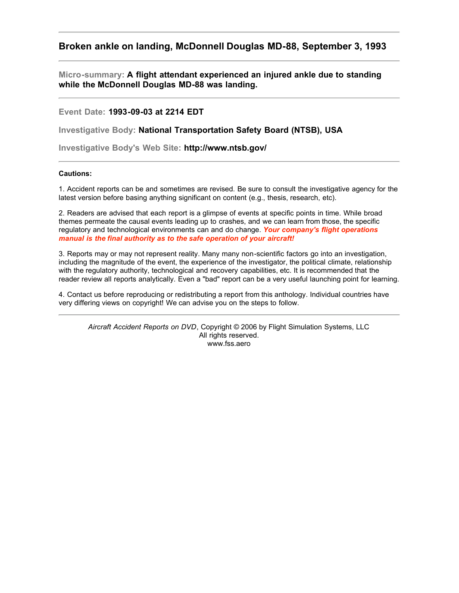## **Broken ankle on landing, McDonnell Douglas MD-88, September 3, 1993**

**Micro-summary: A flight attendant experienced an injured ankle due to standing while the McDonnell Douglas MD-88 was landing.**

**Event Date: 1993-09-03 at 2214 EDT**

**Investigative Body: National Transportation Safety Board (NTSB), USA**

**Investigative Body's Web Site: http://www.ntsb.gov/**

## **Cautions:**

1. Accident reports can be and sometimes are revised. Be sure to consult the investigative agency for the latest version before basing anything significant on content (e.g., thesis, research, etc).

2. Readers are advised that each report is a glimpse of events at specific points in time. While broad themes permeate the causal events leading up to crashes, and we can learn from those, the specific regulatory and technological environments can and do change. *Your company's flight operations manual is the final authority as to the safe operation of your aircraft!*

3. Reports may or may not represent reality. Many many non-scientific factors go into an investigation, including the magnitude of the event, the experience of the investigator, the political climate, relationship with the regulatory authority, technological and recovery capabilities, etc. It is recommended that the reader review all reports analytically. Even a "bad" report can be a very useful launching point for learning.

4. Contact us before reproducing or redistributing a report from this anthology. Individual countries have very differing views on copyright! We can advise you on the steps to follow.

*Aircraft Accident Reports on DVD*, Copyright © 2006 by Flight Simulation Systems, LLC All rights reserved. www.fss.aero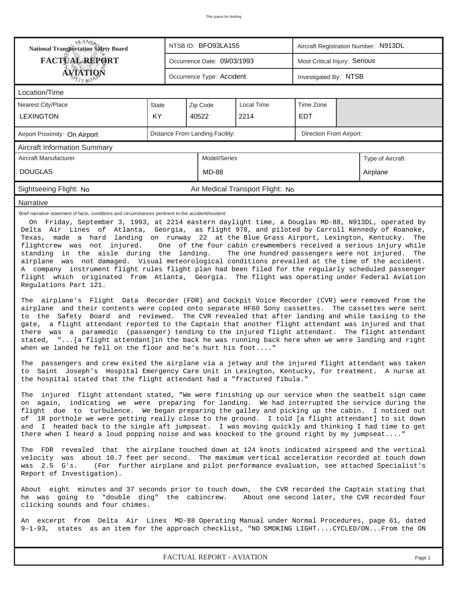| <b>National Transportation Safety Board</b>                                                                                                                                                                                                                                                                                                                                                                                                                                                                                                                                                                                                                                                                                                                                                                                                                                                                                                                                                                                                                                                                                                                                                                                                                                                                                                                               |                                                                                                                                                                                                                                        |  | NTSB ID: BFO93LA155             |                                  |                         | Aircraft Registration Number: N913DL |                  |  |  |  |
|---------------------------------------------------------------------------------------------------------------------------------------------------------------------------------------------------------------------------------------------------------------------------------------------------------------------------------------------------------------------------------------------------------------------------------------------------------------------------------------------------------------------------------------------------------------------------------------------------------------------------------------------------------------------------------------------------------------------------------------------------------------------------------------------------------------------------------------------------------------------------------------------------------------------------------------------------------------------------------------------------------------------------------------------------------------------------------------------------------------------------------------------------------------------------------------------------------------------------------------------------------------------------------------------------------------------------------------------------------------------------|----------------------------------------------------------------------------------------------------------------------------------------------------------------------------------------------------------------------------------------|--|---------------------------------|----------------------------------|-------------------------|--------------------------------------|------------------|--|--|--|
| <b>FACTUAL REPORT</b>                                                                                                                                                                                                                                                                                                                                                                                                                                                                                                                                                                                                                                                                                                                                                                                                                                                                                                                                                                                                                                                                                                                                                                                                                                                                                                                                                     |                                                                                                                                                                                                                                        |  | Occurrence Date: 09/03/1993     |                                  |                         | Most Critical Injury: Serious        |                  |  |  |  |
| AVIATION                                                                                                                                                                                                                                                                                                                                                                                                                                                                                                                                                                                                                                                                                                                                                                                                                                                                                                                                                                                                                                                                                                                                                                                                                                                                                                                                                                  |                                                                                                                                                                                                                                        |  | Occurrence Type: Accident       |                                  |                         | Investigated By: NTSB                |                  |  |  |  |
| Location/Time                                                                                                                                                                                                                                                                                                                                                                                                                                                                                                                                                                                                                                                                                                                                                                                                                                                                                                                                                                                                                                                                                                                                                                                                                                                                                                                                                             |                                                                                                                                                                                                                                        |  |                                 |                                  |                         |                                      |                  |  |  |  |
| Nearest City/Place                                                                                                                                                                                                                                                                                                                                                                                                                                                                                                                                                                                                                                                                                                                                                                                                                                                                                                                                                                                                                                                                                                                                                                                                                                                                                                                                                        | State                                                                                                                                                                                                                                  |  | Zip Code                        | Local Time                       | Time Zone               |                                      |                  |  |  |  |
| <b>LEXINGTON</b>                                                                                                                                                                                                                                                                                                                                                                                                                                                                                                                                                                                                                                                                                                                                                                                                                                                                                                                                                                                                                                                                                                                                                                                                                                                                                                                                                          | KY                                                                                                                                                                                                                                     |  | 40522                           | 2214                             | <b>EDT</b>              |                                      |                  |  |  |  |
| Airport Proximity: On Airport                                                                                                                                                                                                                                                                                                                                                                                                                                                                                                                                                                                                                                                                                                                                                                                                                                                                                                                                                                                                                                                                                                                                                                                                                                                                                                                                             |                                                                                                                                                                                                                                        |  | Distance From Landing Facility: |                                  | Direction From Airport: |                                      |                  |  |  |  |
| <b>Aircraft Information Summary</b>                                                                                                                                                                                                                                                                                                                                                                                                                                                                                                                                                                                                                                                                                                                                                                                                                                                                                                                                                                                                                                                                                                                                                                                                                                                                                                                                       |                                                                                                                                                                                                                                        |  |                                 |                                  |                         |                                      |                  |  |  |  |
| Aircraft Manufacturer                                                                                                                                                                                                                                                                                                                                                                                                                                                                                                                                                                                                                                                                                                                                                                                                                                                                                                                                                                                                                                                                                                                                                                                                                                                                                                                                                     |                                                                                                                                                                                                                                        |  | Model/Series                    |                                  |                         |                                      | Type of Aircraft |  |  |  |
| <b>DOUGLAS</b>                                                                                                                                                                                                                                                                                                                                                                                                                                                                                                                                                                                                                                                                                                                                                                                                                                                                                                                                                                                                                                                                                                                                                                                                                                                                                                                                                            |                                                                                                                                                                                                                                        |  | <b>MD-88</b>                    |                                  |                         |                                      | Airplane         |  |  |  |
| Sightseeing Flight: No                                                                                                                                                                                                                                                                                                                                                                                                                                                                                                                                                                                                                                                                                                                                                                                                                                                                                                                                                                                                                                                                                                                                                                                                                                                                                                                                                    |                                                                                                                                                                                                                                        |  |                                 | Air Medical Transport Flight: No |                         |                                      |                  |  |  |  |
| Narrative                                                                                                                                                                                                                                                                                                                                                                                                                                                                                                                                                                                                                                                                                                                                                                                                                                                                                                                                                                                                                                                                                                                                                                                                                                                                                                                                                                 |                                                                                                                                                                                                                                        |  |                                 |                                  |                         |                                      |                  |  |  |  |
| Delta Air Lines of Atlanta, Georgia, as flight 978, and piloted by Carroll Kennedy of Roanoke,<br>Texas, made a hard landing on runway 22 at the Blue Grass Airport, Lexington, Kentucky.<br>The<br>flightcrew was not injured.<br>One of the four cabin crewmembers received a serious injury while<br>standing in the aisle during the landing.<br>The one hundred passengers were not injured.<br>The<br>airplane was not damaged. Visual meteorological conditions prevailed at the time of the accident.<br>A company instrument flight rules flight plan had been filed for the regularly scheduled passenger<br>flight which originated from Atlanta, Georgia. The flight was operating under Federal Aviation<br>Requlations Part 121.<br>The airplane's Flight Data Recorder (FDR) and Cockpit Voice Recorder (CVR) were removed from the<br>airplane and their contents were copied onto separate HF60 Sony cassettes. The cassettes were sent<br>to the Safety Board and reviewed. The CVR revealed that after landing and while taxiing to the<br>gate, a flight attendant reported to the Captain that another flight attendant was injured and that<br>there was a paramedic (passenger) tending to the injured flight attendant. The flight attendant<br>stated, " [a flight attendant]in the back he was running back here when we were landing and right |                                                                                                                                                                                                                                        |  |                                 |                                  |                         |                                      |                  |  |  |  |
| The passengers and crew exited the airplane via a jetway and the injured flight attendant was taken<br>to Saint Joseph's Hospital Emergency Care Unit in Lexington, Kentucky, for treatment. A nurse at<br>the hospital stated that the flight attendant had a "fractured fibula."                                                                                                                                                                                                                                                                                                                                                                                                                                                                                                                                                                                                                                                                                                                                                                                                                                                                                                                                                                                                                                                                                        |                                                                                                                                                                                                                                        |  |                                 |                                  |                         |                                      |                  |  |  |  |
| The injured flight attendant stated, "We were finishing up our service when the seatbelt sign came<br>on again, indicating we were preparing for landing. We had interrupted the service during the<br>flight due to turbulence. We began preparing the galley and picking up the cabin. I noticed out<br>of 1R porthole we were getting really close to the ground. I told [a flight attendant] to sit down<br>and I headed back to the single aft jumpseat. I was moving quickly and thinking I had time to get<br>there when I heard a loud popping noise and was knocked to the ground right by my jumpseat"                                                                                                                                                                                                                                                                                                                                                                                                                                                                                                                                                                                                                                                                                                                                                          |                                                                                                                                                                                                                                        |  |                                 |                                  |                         |                                      |                  |  |  |  |
| The FDR revealed that the airplane touched down at 124 knots indicated airspeed and the vertical<br>velocity was about 10.7 feet per second. The maximum vertical acceleration recorded at touch down<br>was $2.5$ G's.<br>(For further airplane and pilot performance evaluation, see attached Specialist's<br>Report of Investigation).                                                                                                                                                                                                                                                                                                                                                                                                                                                                                                                                                                                                                                                                                                                                                                                                                                                                                                                                                                                                                                 |                                                                                                                                                                                                                                        |  |                                 |                                  |                         |                                      |                  |  |  |  |
|                                                                                                                                                                                                                                                                                                                                                                                                                                                                                                                                                                                                                                                                                                                                                                                                                                                                                                                                                                                                                                                                                                                                                                                                                                                                                                                                                                           | About eight minutes and 37 seconds prior to touch down, the CVR recorded the Captain stating that<br>he was going to "double ding" the cabincrew.<br>About one second later, the CVR recorded four<br>clicking sounds and four chimes. |  |                                 |                                  |                         |                                      |                  |  |  |  |
| An excerpt from Delta Air Lines MD-88 Operating Manual under Normal Procedures, page 61, dated<br>9-1-93, states as an item for the approach checklist, "NO SMOKING LIGHTCYCLED/ONFrom the ON                                                                                                                                                                                                                                                                                                                                                                                                                                                                                                                                                                                                                                                                                                                                                                                                                                                                                                                                                                                                                                                                                                                                                                             |                                                                                                                                                                                                                                        |  |                                 |                                  |                         |                                      |                  |  |  |  |
| FACTUAL REPORT - AVIATION<br>Page 1                                                                                                                                                                                                                                                                                                                                                                                                                                                                                                                                                                                                                                                                                                                                                                                                                                                                                                                                                                                                                                                                                                                                                                                                                                                                                                                                       |                                                                                                                                                                                                                                        |  |                                 |                                  |                         |                                      |                  |  |  |  |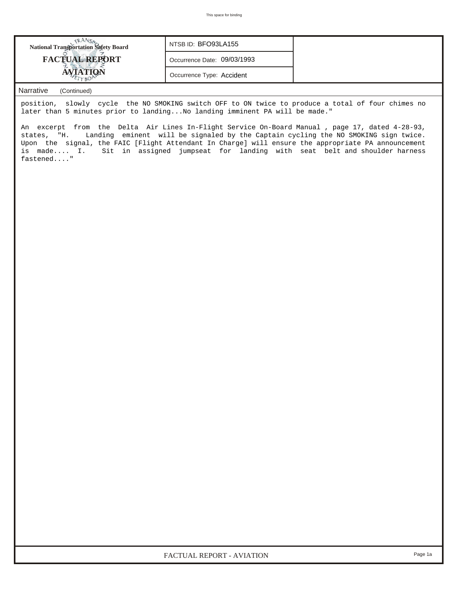| <b>National Transportation Safety Board</b> | NTSB ID: BFO93LA155         |  |
|---------------------------------------------|-----------------------------|--|
| <b>FACTUAL REPORT</b>                       | Occurrence Date: 09/03/1993 |  |
|                                             | Occurrence Type: Accident   |  |

## *Narrative (Continued)*

position, slowly cycle the NO SMOKING switch OFF to ON twice to produce a total of four chimes no later than 5 minutes prior to landing...No landing imminent PA will be made."

An excerpt from the Delta Air Lines In-Flight Service On-Board Manual , page 17, dated 4-28-93, states, "H. Landing eminent will be signaled by the Captain cycling the NO SMOKING sign twice. Upon the signal, the FAIC [Flight Attendant In Charge] will ensure the appropriate PA announcement is made.... I. Sit in assigned jumpseat for landing with seat belt and shoulder harness fastened...."

*FACTUAL REPORT - AVIATION Page 1a*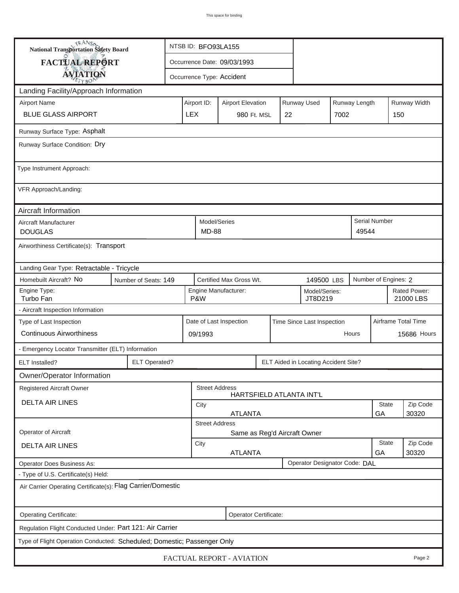| <b>National Transportation Safety Board</b>                             |                        | NTSB ID: BFO93LA155                                     |                                       |                       |  |                                                                                         |                                      |                    |                           |                      |  |  |  |
|-------------------------------------------------------------------------|------------------------|---------------------------------------------------------|---------------------------------------|-----------------------|--|-----------------------------------------------------------------------------------------|--------------------------------------|--------------------|---------------------------|----------------------|--|--|--|
| FACTUAL REPORT                                                          |                        | Occurrence Date: 09/03/1993                             |                                       |                       |  |                                                                                         |                                      |                    |                           |                      |  |  |  |
| <b>AVIATION</b>                                                         |                        | Occurrence Type: Accident                               |                                       |                       |  |                                                                                         |                                      |                    |                           |                      |  |  |  |
| Landing Facility/Approach Information                                   |                        |                                                         |                                       |                       |  |                                                                                         |                                      |                    |                           |                      |  |  |  |
| <b>Airport Name</b>                                                     |                        |                                                         |                                       |                       |  | Runway Width<br>Runway Used<br>Runway Length<br>Airport ID:<br><b>Airport Elevation</b> |                                      |                    |                           |                      |  |  |  |
| <b>BLUE GLASS AIRPORT</b>                                               | <b>LEX</b>             |                                                         |                                       | 980 Ft. MSL           |  | 22                                                                                      |                                      | 7002               |                           | 150                  |  |  |  |
| Runway Surface Type: Asphalt                                            |                        |                                                         |                                       |                       |  |                                                                                         |                                      |                    |                           |                      |  |  |  |
| Runway Surface Condition: Dry                                           |                        |                                                         |                                       |                       |  |                                                                                         |                                      |                    |                           |                      |  |  |  |
| Type Instrument Approach:                                               |                        |                                                         |                                       |                       |  |                                                                                         |                                      |                    |                           |                      |  |  |  |
| VFR Approach/Landing:                                                   |                        |                                                         |                                       |                       |  |                                                                                         |                                      |                    |                           |                      |  |  |  |
| Aircraft Information                                                    |                        |                                                         |                                       |                       |  |                                                                                         |                                      |                    |                           |                      |  |  |  |
| Aircraft Manufacturer<br><b>DOUGLAS</b>                                 |                        |                                                         | Model/Series<br><b>MD-88</b>          |                       |  |                                                                                         |                                      |                    | 49544                     | Serial Number        |  |  |  |
| Airworthiness Certificate(s): Transport                                 |                        |                                                         |                                       |                       |  |                                                                                         |                                      |                    |                           |                      |  |  |  |
| Landing Gear Type: Retractable - Tricycle                               |                        |                                                         |                                       |                       |  |                                                                                         |                                      |                    |                           |                      |  |  |  |
| Homebuilt Aircraft? No<br>Number of Seats: 149                          |                        |                                                         | Certified Max Gross Wt.<br>149500 LBS |                       |  |                                                                                         |                                      |                    |                           | Number of Engines: 2 |  |  |  |
| Engine Type:<br>Turbo Fan                                               |                        | Engine Manufacturer:<br>Model/Series:<br>P&W<br>JT8D219 |                                       |                       |  |                                                                                         |                                      |                    | Rated Power:<br>21000 LBS |                      |  |  |  |
| - Aircraft Inspection Information                                       |                        |                                                         |                                       |                       |  |                                                                                         |                                      |                    |                           |                      |  |  |  |
| Type of Last Inspection                                                 |                        | Date of Last Inspection<br>Time Since Last Inspection   |                                       |                       |  |                                                                                         |                                      |                    | Airframe Total Time       |                      |  |  |  |
| <b>Continuous Airworthiness</b>                                         |                        |                                                         | Hours<br>09/1993                      |                       |  |                                                                                         |                                      |                    |                           | 15686 Hours          |  |  |  |
| - Emergency Locator Transmitter (ELT) Information                       |                        |                                                         |                                       |                       |  |                                                                                         |                                      |                    |                           |                      |  |  |  |
| <b>ELT Operated?</b><br><b>ELT</b> Installed?                           |                        |                                                         |                                       |                       |  |                                                                                         | ELT Aided in Locating Accident Site? |                    |                           |                      |  |  |  |
| Owner/Operator Information                                              |                        |                                                         |                                       |                       |  |                                                                                         |                                      |                    |                           |                      |  |  |  |
| Registered Aircraft Owner                                               |                        |                                                         |                                       | <b>Street Address</b> |  |                                                                                         | HARTSFIELD ATLANTA INT'L             |                    |                           |                      |  |  |  |
| <b>DELTA AIR LINES</b>                                                  |                        | State<br>City                                           |                                       |                       |  |                                                                                         |                                      |                    |                           | Zip Code             |  |  |  |
|                                                                         |                        | <b>ATLANTA</b><br>30320<br>GA<br><b>Street Address</b>  |                                       |                       |  |                                                                                         |                                      |                    |                           |                      |  |  |  |
| Operator of Aircraft                                                    |                        |                                                         |                                       |                       |  |                                                                                         | Same as Reg'd Aircraft Owner         |                    |                           |                      |  |  |  |
| <b>DELTA AIR LINES</b>                                                  | City<br><b>ATLANTA</b> |                                                         |                                       |                       |  |                                                                                         |                                      | <b>State</b><br>GA | Zip Code<br>30320         |                      |  |  |  |
| <b>Operator Does Business As:</b>                                       |                        |                                                         |                                       |                       |  |                                                                                         | Operator Designator Code: DAL        |                    |                           |                      |  |  |  |
| - Type of U.S. Certificate(s) Held:                                     |                        |                                                         |                                       |                       |  |                                                                                         |                                      |                    |                           |                      |  |  |  |
| Air Carrier Operating Certificate(s): Flag Carrier/Domestic             |                        |                                                         |                                       |                       |  |                                                                                         |                                      |                    |                           |                      |  |  |  |
| Operating Certificate:                                                  |                        |                                                         |                                       | Operator Certificate: |  |                                                                                         |                                      |                    |                           |                      |  |  |  |
| Regulation Flight Conducted Under: Part 121: Air Carrier                |                        |                                                         |                                       |                       |  |                                                                                         |                                      |                    |                           |                      |  |  |  |
| Type of Flight Operation Conducted: Scheduled; Domestic; Passenger Only |                        |                                                         |                                       |                       |  |                                                                                         |                                      |                    |                           |                      |  |  |  |
| FACTUAL REPORT - AVIATION<br>Page 2                                     |                        |                                                         |                                       |                       |  |                                                                                         |                                      |                    |                           |                      |  |  |  |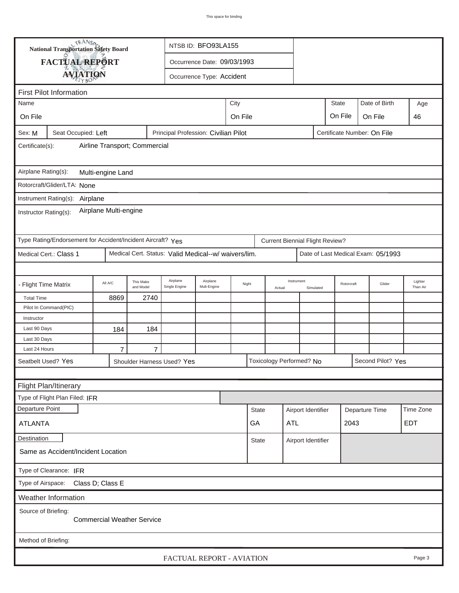|                                                                                                      | <b>National Transportation Safety Board</b><br>NTSB ID: BFO93LA155 |                |                        |                                                      |                             |         |                                    |        |                                        |      |            |                                    |                     |
|------------------------------------------------------------------------------------------------------|--------------------------------------------------------------------|----------------|------------------------|------------------------------------------------------|-----------------------------|---------|------------------------------------|--------|----------------------------------------|------|------------|------------------------------------|---------------------|
|                                                                                                      | FACTUAL REPORT                                                     |                |                        |                                                      | Occurrence Date: 09/03/1993 |         |                                    |        |                                        |      |            |                                    |                     |
|                                                                                                      | <b>AVIATION</b>                                                    |                |                        |                                                      | Occurrence Type: Accident   |         |                                    |        |                                        |      |            |                                    |                     |
|                                                                                                      |                                                                    |                |                        |                                                      |                             |         |                                    |        |                                        |      |            |                                    |                     |
| <b>First Pilot Information</b><br><b>State</b><br>Date of Birth                                      |                                                                    |                |                        |                                                      |                             |         |                                    |        |                                        |      |            |                                    |                     |
| Name                                                                                                 |                                                                    |                |                        |                                                      |                             | City    |                                    |        |                                        |      |            |                                    | Age                 |
| On File                                                                                              |                                                                    |                |                        |                                                      |                             | On File |                                    |        |                                        |      | On File    | On File                            | 46                  |
| Seat Occupied: Left<br>Principal Profession: Civilian Pilot<br>Certificate Number: On File<br>Sex: M |                                                                    |                |                        |                                                      |                             |         |                                    |        |                                        |      |            |                                    |                     |
| Airline Transport; Commercial<br>Certificate(s):                                                     |                                                                    |                |                        |                                                      |                             |         |                                    |        |                                        |      |            |                                    |                     |
| Airplane Rating(s):<br>Multi-engine Land                                                             |                                                                    |                |                        |                                                      |                             |         |                                    |        |                                        |      |            |                                    |                     |
|                                                                                                      | Rotorcraft/Glider/LTA: None                                        |                |                        |                                                      |                             |         |                                    |        |                                        |      |            |                                    |                     |
|                                                                                                      |                                                                    |                |                        |                                                      |                             |         |                                    |        |                                        |      |            |                                    |                     |
| Instrument Rating(s):<br>Airplane<br>Airplane Multi-engine<br>Instructor Rating(s):                  |                                                                    |                |                        |                                                      |                             |         |                                    |        |                                        |      |            |                                    |                     |
|                                                                                                      | Type Rating/Endorsement for Accident/Incident Aircraft? Yes        |                |                        |                                                      |                             |         |                                    |        | <b>Current Biennial Flight Review?</b> |      |            |                                    |                     |
|                                                                                                      | Medical Cert.: Class 1                                             |                |                        | Medical Cert. Status: Valid Medical--w/ waivers/lim. |                             |         |                                    |        |                                        |      |            | Date of Last Medical Exam: 05/1993 |                     |
|                                                                                                      |                                                                    |                |                        |                                                      |                             |         |                                    |        |                                        |      |            |                                    |                     |
| - Flight Time Matrix                                                                                 |                                                                    | All A/C        | This Make<br>and Model | Airplane<br>Single Engine                            | Airplane<br>Mult-Engine     | Night   |                                    | Actual | Instrument<br>Simulated                |      | Rotorcraft | Glider                             | Lighter<br>Than Air |
| <b>Total Time</b>                                                                                    |                                                                    | 8869           | 2740                   |                                                      |                             |         |                                    |        |                                        |      |            |                                    |                     |
|                                                                                                      | Pilot In Command(PIC)                                              |                |                        |                                                      |                             |         |                                    |        |                                        |      |            |                                    |                     |
| Instructor                                                                                           |                                                                    |                |                        |                                                      |                             |         |                                    |        |                                        |      |            |                                    |                     |
| Last 90 Days                                                                                         |                                                                    | 184            | 184                    |                                                      |                             |         |                                    |        |                                        |      |            |                                    |                     |
| Last 30 Days<br>Last 24 Hours                                                                        |                                                                    | $\overline{7}$ | $\overline{7}$         |                                                      |                             |         |                                    |        |                                        |      |            |                                    |                     |
|                                                                                                      | Seatbelt Used? Yes                                                 |                |                        | Shoulder Harness Used? Yes                           |                             |         |                                    |        | Toxicology Performed? No               |      |            | Second Pilot? Yes                  |                     |
|                                                                                                      |                                                                    |                |                        |                                                      |                             |         |                                    |        |                                        |      |            |                                    |                     |
|                                                                                                      | Flight Plan/Itinerary                                              |                |                        |                                                      |                             |         |                                    |        |                                        |      |            |                                    |                     |
|                                                                                                      | Type of Flight Plan Filed: IFR                                     |                |                        |                                                      |                             |         |                                    |        |                                        |      |            |                                    |                     |
| Departure Point                                                                                      |                                                                    |                |                        |                                                      |                             |         | <b>State</b>                       |        | Airport Identifier                     |      |            | Departure Time                     | Time Zone           |
|                                                                                                      |                                                                    |                |                        |                                                      |                             |         | GA                                 | ATL    |                                        | 2043 |            |                                    | <b>EDT</b>          |
| <b>ATLANTA</b>                                                                                       |                                                                    |                |                        |                                                      |                             |         |                                    |        |                                        |      |            |                                    |                     |
| Destination                                                                                          |                                                                    |                |                        |                                                      |                             |         | <b>State</b><br>Airport Identifier |        |                                        |      |            |                                    |                     |
|                                                                                                      | Same as Accident/Incident Location                                 |                |                        |                                                      |                             |         |                                    |        |                                        |      |            |                                    |                     |
| Type of Clearance: IFR                                                                               |                                                                    |                |                        |                                                      |                             |         |                                    |        |                                        |      |            |                                    |                     |
| Type of Airspace: Class D; Class E                                                                   |                                                                    |                |                        |                                                      |                             |         |                                    |        |                                        |      |            |                                    |                     |
| Weather Information                                                                                  |                                                                    |                |                        |                                                      |                             |         |                                    |        |                                        |      |            |                                    |                     |
| Source of Briefing:<br><b>Commercial Weather Service</b>                                             |                                                                    |                |                        |                                                      |                             |         |                                    |        |                                        |      |            |                                    |                     |
| Method of Briefing:                                                                                  |                                                                    |                |                        |                                                      |                             |         |                                    |        |                                        |      |            |                                    |                     |
| FACTUAL REPORT - AVIATION<br>Page 3                                                                  |                                                                    |                |                        |                                                      |                             |         |                                    |        |                                        |      |            |                                    |                     |

ı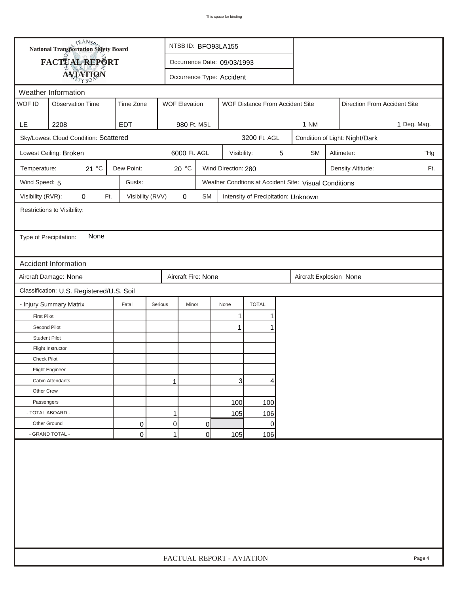|                        | <b>National Transportation Safety Board</b> |                  |         | NTSB ID: BFO93LA155         |           |                     |                                     |   |                                                       |                                |                              |  |  |
|------------------------|---------------------------------------------|------------------|---------|-----------------------------|-----------|---------------------|-------------------------------------|---|-------------------------------------------------------|--------------------------------|------------------------------|--|--|
|                        | FACTUAL REPORT                              |                  |         | Occurrence Date: 09/03/1993 |           |                     |                                     |   |                                                       |                                |                              |  |  |
|                        | <b>AVIATION</b>                             |                  |         | Occurrence Type: Accident   |           |                     |                                     |   |                                                       |                                |                              |  |  |
|                        | Weather Information                         |                  |         |                             |           |                     |                                     |   |                                                       |                                |                              |  |  |
| WOF ID                 | <b>Observation Time</b>                     | Time Zone        |         | <b>WOF Elevation</b>        |           |                     | WOF Distance From Accident Site     |   |                                                       |                                | Direction From Accident Site |  |  |
|                        |                                             |                  |         |                             |           |                     |                                     |   |                                                       |                                |                              |  |  |
| LE.                    | 2208                                        | <b>EDT</b>       |         | 980 Ft. MSL                 |           |                     |                                     |   | <b>1 NM</b>                                           | 1 Deg. Mag.                    |                              |  |  |
|                        | Sky/Lowest Cloud Condition: Scattered       |                  |         |                             |           |                     | 3200 Ft. AGL                        |   |                                                       | Condition of Light: Night/Dark |                              |  |  |
|                        | Lowest Ceiling: Broken                      |                  |         | 6000 Ft. AGL                |           | Visibility:         |                                     | 5 | <b>SM</b>                                             | "Hg<br>Altimeter:              |                              |  |  |
| Temperature:           | 21 $^{\circ}$ C                             | Dew Point:       |         | $20^{\circ}$ C              |           | Wind Direction: 280 |                                     |   |                                                       | Ft.                            |                              |  |  |
| Wind Speed: 5          |                                             | Gusts:           |         |                             |           |                     |                                     |   | Weather Condtions at Accident Site: Visual Conditions |                                |                              |  |  |
| Visibility (RVR):      | 0<br>Ft.                                    | Visibility (RVV) |         | $\mathbf 0$                 | <b>SM</b> |                     | Intensity of Precipitation: Unknown |   |                                                       |                                |                              |  |  |
|                        | Restrictions to Visibility:                 |                  |         |                             |           |                     |                                     |   |                                                       |                                |                              |  |  |
|                        |                                             |                  |         |                             |           |                     |                                     |   |                                                       |                                |                              |  |  |
| Type of Precipitation: | None                                        |                  |         |                             |           |                     |                                     |   |                                                       |                                |                              |  |  |
|                        |                                             |                  |         |                             |           |                     |                                     |   |                                                       |                                |                              |  |  |
|                        | <b>Accident Information</b>                 |                  |         |                             |           |                     |                                     |   |                                                       |                                |                              |  |  |
|                        | Aircraft Damage: None                       |                  |         | Aircraft Fire: None         |           |                     |                                     |   | Aircraft Explosion None                               |                                |                              |  |  |
|                        | Classification: U.S. Registered/U.S. Soil   |                  |         |                             |           |                     |                                     |   |                                                       |                                |                              |  |  |
|                        | - Injury Summary Matrix                     | Fatal            | Serious | Minor                       |           | None                | <b>TOTAL</b>                        |   |                                                       |                                |                              |  |  |
| <b>First Pilot</b>     |                                             |                  |         |                             |           | 1                   |                                     |   |                                                       |                                |                              |  |  |
| Second Pilot           |                                             |                  |         |                             |           | $\mathbf{1}$        |                                     |   |                                                       |                                |                              |  |  |
| <b>Student Pilot</b>   |                                             |                  |         |                             |           |                     |                                     |   |                                                       |                                |                              |  |  |
|                        | Flight Instructor                           |                  |         |                             |           |                     |                                     |   |                                                       |                                |                              |  |  |
| <b>Check Pilot</b>     |                                             |                  |         |                             |           |                     |                                     |   |                                                       |                                |                              |  |  |
|                        | <b>Flight Engineer</b>                      |                  |         |                             |           |                     |                                     |   |                                                       |                                |                              |  |  |
|                        | Cabin Attendants                            |                  | 1       |                             |           | 31                  | 4                                   |   |                                                       |                                |                              |  |  |
| Other Crew             |                                             |                  |         |                             |           |                     |                                     |   |                                                       |                                |                              |  |  |
| Passengers             |                                             |                  |         |                             |           | 100                 | 100                                 |   |                                                       |                                |                              |  |  |
| - TOTAL ABOARD -       |                                             |                  | 1       |                             |           | 105                 | 106                                 |   |                                                       |                                |                              |  |  |
| Other Ground           |                                             | 0                | 0       |                             | 0         |                     | 0                                   |   |                                                       |                                |                              |  |  |
|                        | - GRAND TOTAL -                             | 0                | 1       |                             | 0         | 105                 | 106                                 |   |                                                       |                                |                              |  |  |
|                        |                                             |                  |         |                             |           |                     |                                     |   |                                                       |                                |                              |  |  |
|                        | FACTUAL REPORT - AVIATION<br>Page 4         |                  |         |                             |           |                     |                                     |   |                                                       |                                |                              |  |  |